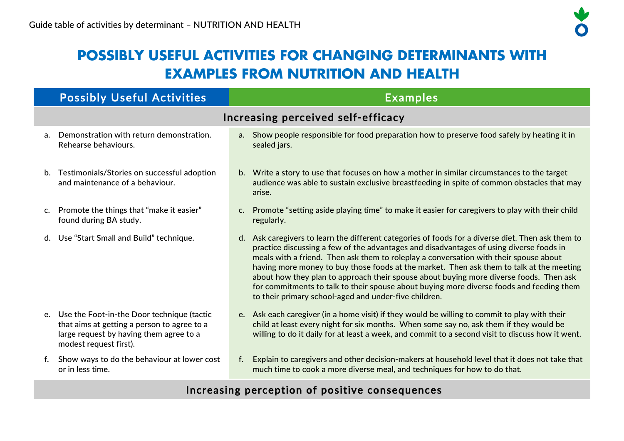# **POSSIBLY USEFUL ACTIVITIES FOR CHANGING DETERMINANTS WITH EXAMPLES FROM NUTRITION AND HEALTH**

|    | <b>Possibly Useful Activities</b>                                                                                                                                 | <b>Examples</b>                                                                                                                                                                                                                                                                                                                                                                                                                                                                                                                                                                                                                  |  |  |  |
|----|-------------------------------------------------------------------------------------------------------------------------------------------------------------------|----------------------------------------------------------------------------------------------------------------------------------------------------------------------------------------------------------------------------------------------------------------------------------------------------------------------------------------------------------------------------------------------------------------------------------------------------------------------------------------------------------------------------------------------------------------------------------------------------------------------------------|--|--|--|
|    | Increasing perceived self-efficacy                                                                                                                                |                                                                                                                                                                                                                                                                                                                                                                                                                                                                                                                                                                                                                                  |  |  |  |
|    | a. Demonstration with return demonstration.<br>Rehearse behaviours.                                                                                               | a. Show people responsible for food preparation how to preserve food safely by heating it in<br>sealed jars.                                                                                                                                                                                                                                                                                                                                                                                                                                                                                                                     |  |  |  |
|    | b. Testimonials/Stories on successful adoption<br>and maintenance of a behaviour.                                                                                 | b. Write a story to use that focuses on how a mother in similar circumstances to the target<br>audience was able to sustain exclusive breastfeeding in spite of common obstacles that may<br>arise.                                                                                                                                                                                                                                                                                                                                                                                                                              |  |  |  |
|    | c. Promote the things that "make it easier"<br>found during BA study.                                                                                             | Promote "setting aside playing time" to make it easier for caregivers to play with their child<br>C.<br>regularly.                                                                                                                                                                                                                                                                                                                                                                                                                                                                                                               |  |  |  |
|    | d. Use "Start Small and Build" technique.                                                                                                                         | d. Ask caregivers to learn the different categories of foods for a diverse diet. Then ask them to<br>practice discussing a few of the advantages and disadvantages of using diverse foods in<br>meals with a friend. Then ask them to roleplay a conversation with their spouse about<br>having more money to buy those foods at the market. Then ask them to talk at the meeting<br>about how they plan to approach their spouse about buying more diverse foods. Then ask<br>for commitments to talk to their spouse about buying more diverse foods and feeding them<br>to their primary school-aged and under-five children. |  |  |  |
|    | e. Use the Foot-in-the Door technique (tactic<br>that aims at getting a person to agree to a<br>large request by having them agree to a<br>modest request first). | e. Ask each caregiver (in a home visit) if they would be willing to commit to play with their<br>child at least every night for six months. When some say no, ask them if they would be<br>willing to do it daily for at least a week, and commit to a second visit to discuss how it went.                                                                                                                                                                                                                                                                                                                                      |  |  |  |
| f. | Show ways to do the behaviour at lower cost<br>or in less time.                                                                                                   | Explain to caregivers and other decision-makers at household level that it does not take that<br>f.<br>much time to cook a more diverse meal, and techniques for how to do that.                                                                                                                                                                                                                                                                                                                                                                                                                                                 |  |  |  |

### Increasing perception of positive consequences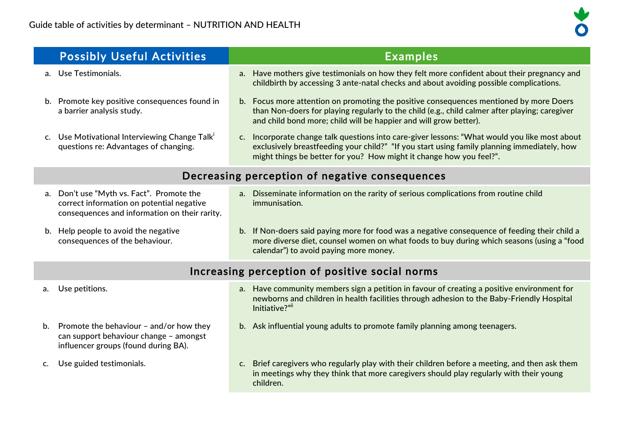

| <b>Possibly Useful Activities</b>                                                                                                          | <b>Examples</b>                                                                                                                                                                                                                                                     |  |
|--------------------------------------------------------------------------------------------------------------------------------------------|---------------------------------------------------------------------------------------------------------------------------------------------------------------------------------------------------------------------------------------------------------------------|--|
| a. Use Testimonials.                                                                                                                       | a. Have mothers give testimonials on how they felt more confident about their pregnancy and<br>childbirth by accessing 3 ante-natal checks and about avoiding possible complications.                                                                               |  |
| b. Promote key positive consequences found in<br>a barrier analysis study.                                                                 | b. Focus more attention on promoting the positive consequences mentioned by more Doers<br>than Non-doers for playing regularly to the child (e.g., child calmer after playing; caregiver<br>and child bond more; child will be happier and will grow better).       |  |
| c. Use Motivational Interviewing Change Talk'<br>questions re: Advantages of changing.                                                     | c. Incorporate change talk questions into care-giver lessons: "What would you like most about<br>exclusively breastfeeding your child?" "If you start using family planning immediately, how<br>might things be better for you? How might it change how you feel?". |  |
| Decreasing perception of negative consequences                                                                                             |                                                                                                                                                                                                                                                                     |  |
| Don't use "Myth vs. Fact". Promote the<br>a.<br>correct information on potential negative<br>consequences and information on their rarity. | a. Disseminate information on the rarity of serious complications from routine child<br>immunisation.                                                                                                                                                               |  |

b. Help people to avoid the negative consequences of the behaviour.

b. If Non-doers said paying more for food was a negative consequence of feeding their child a more diverse diet, counsel women on what foods to buy during which seasons (using a "food calendar") to avoid paying more money.

### Increasing perception of positive social norms

- a. Use petitions. a. Have community members sign a petition in favour of creating a positive environment for newborns and children in health facilities through adhesion to the Baby-Friendly Hospital Initiative?"ii
- b. Promote the behaviour and/or how they can support behaviour change – amongst influencer groups (found during BA).
- 
- b. Ask influential young adults to promote family planning among teenagers.

- 
- c. Use guided testimonials. c. Brief caregivers who regularly play with their children before a meeting, and then ask them in meetings why they think that more caregivers should play regularly with their young children.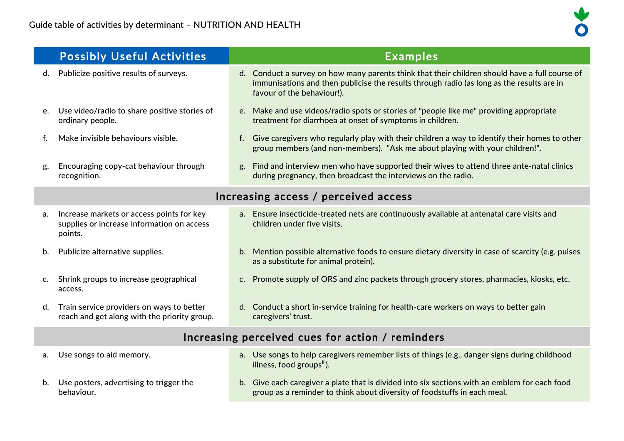

|                                                  | <b>Possibly Useful Activities</b>                                                                  | <b>Examples</b>                                                                                                                                                                                                           |  |
|--------------------------------------------------|----------------------------------------------------------------------------------------------------|---------------------------------------------------------------------------------------------------------------------------------------------------------------------------------------------------------------------------|--|
| d.                                               | Publicize positive results of surveys.                                                             | d. Conduct a survey on how many parents think that their children should have a full course of<br>immunisations and then publicise the results through radio (as long as the results are in<br>favour of the behaviour!). |  |
| e.                                               | Use video/radio to share positive stories of<br>ordinary people.                                   | Make and use videos/radio spots or stories of "people like me" providing appropriate<br>e.<br>treatment for diarrhoea at onset of symptoms in children.                                                                   |  |
| f.                                               | Make invisible behaviours visible.                                                                 | Give caregivers who regularly play with their children a way to identify their homes to other<br>f.<br>group members (and non-members). "Ask me about playing with your children!".                                       |  |
| g.                                               | Encouraging copy-cat behaviour through<br>recognition.                                             | Find and interview men who have supported their wives to attend three ante-natal clinics<br>g.<br>during pregnancy, then broadcast the interviews on the radio.                                                           |  |
|                                                  | Increasing access / perceived access                                                               |                                                                                                                                                                                                                           |  |
| a.                                               | Increase markets or access points for key<br>supplies or increase information on access<br>points. | a. Ensure insecticide-treated nets are continuously available at antenatal care visits and<br>children under five visits.                                                                                                 |  |
| b.                                               | Publicize alternative supplies.                                                                    | Mention possible alternative foods to ensure dietary diversity in case of scarcity (e.g. pulses<br>b.<br>as a substitute for animal protein).                                                                             |  |
| C.                                               | Shrink groups to increase geographical<br>access.                                                  | Promote supply of ORS and zinc packets through grocery stores, pharmacies, kiosks, etc.<br>C.                                                                                                                             |  |
| d.                                               | Train service providers on ways to better<br>reach and get along with the priority group.          | d. Conduct a short in-service training for health-care workers on ways to better gain<br>caregivers' trust.                                                                                                               |  |
| Increasing perceived cues for action / reminders |                                                                                                    |                                                                                                                                                                                                                           |  |
| a.                                               | Use songs to aid memory.                                                                           | a. Use songs to help caregivers remember lists of things (e.g., danger signs during childhood<br>illness, food groups").                                                                                                  |  |
| b.                                               | Use posters, advertising to trigger the<br>behaviour.                                              | b. Give each caregiver a plate that is divided into six sections with an emblem for each food<br>group as a reminder to think about diversity of foodstuffs in each meal.                                                 |  |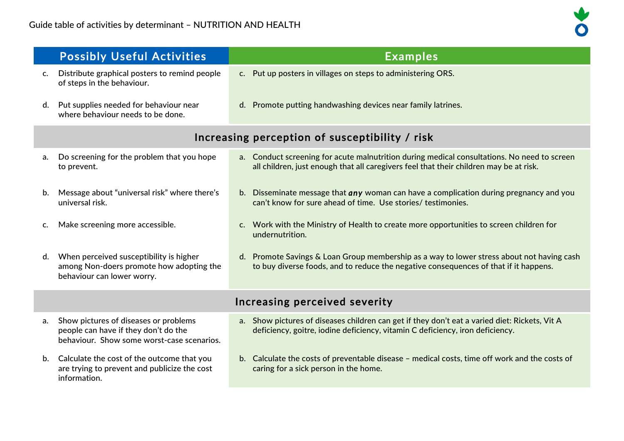|                                                | <b>Possibly Useful Activities</b>                                                                                           | <b>Examples</b>                                                                                                                                                                       |
|------------------------------------------------|-----------------------------------------------------------------------------------------------------------------------------|---------------------------------------------------------------------------------------------------------------------------------------------------------------------------------------|
| $\mathsf{C}$ .                                 | Distribute graphical posters to remind people<br>of steps in the behaviour.                                                 | c. Put up posters in villages on steps to administering ORS.                                                                                                                          |
| d.                                             | Put supplies needed for behaviour near<br>where behaviour needs to be done.                                                 | d. Promote putting handwashing devices near family latrines.                                                                                                                          |
| Increasing perception of susceptibility / risk |                                                                                                                             |                                                                                                                                                                                       |
| a.                                             | Do screening for the problem that you hope<br>to prevent.                                                                   | a. Conduct screening for acute malnutrition during medical consultations. No need to screen<br>all children, just enough that all caregivers feel that their children may be at risk. |
| b.                                             | Message about "universal risk" where there's<br>universal risk.                                                             | b. Disseminate message that any woman can have a complication during pregnancy and you<br>can't know for sure ahead of time. Use stories/ testimonies.                                |
| $\mathsf{C}$ .                                 | Make screening more accessible.                                                                                             | c. Work with the Ministry of Health to create more opportunities to screen children for<br>undernutrition.                                                                            |
| d.                                             | When perceived susceptibility is higher<br>among Non-doers promote how adopting the<br>behaviour can lower worry.           | d. Promote Savings & Loan Group membership as a way to lower stress about not having cash<br>to buy diverse foods, and to reduce the negative consequences of that if it happens.     |
| Increasing perceived severity                  |                                                                                                                             |                                                                                                                                                                                       |
| a.                                             | Show pictures of diseases or problems<br>people can have if they don't do the<br>behaviour. Show some worst-case scenarios. | a. Show pictures of diseases children can get if they don't eat a varied diet: Rickets, Vit A<br>deficiency, goitre, iodine deficiency, vitamin C deficiency, iron deficiency.        |
| b.                                             | Calculate the cost of the outcome that you<br>are trying to prevent and publicize the cost<br>information.                  | b. Calculate the costs of preventable disease - medical costs, time off work and the costs of<br>caring for a sick person in the home.                                                |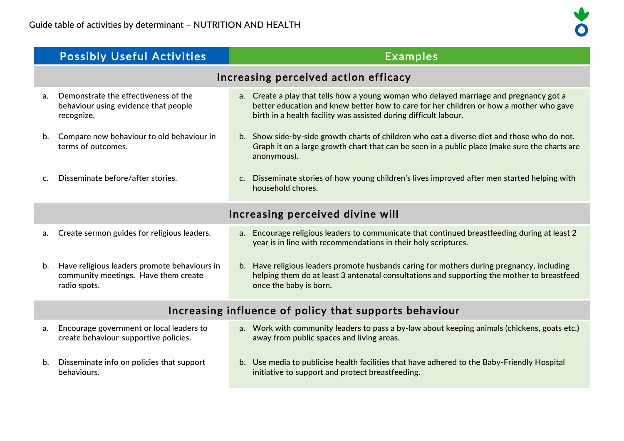|                                                        | <b>Possibly Useful Activities</b>                                                                    | <b>Examples</b>                                                                                                                                                                                                                                      |
|--------------------------------------------------------|------------------------------------------------------------------------------------------------------|------------------------------------------------------------------------------------------------------------------------------------------------------------------------------------------------------------------------------------------------------|
|                                                        |                                                                                                      | Increasing perceived action efficacy                                                                                                                                                                                                                 |
| a.                                                     | Demonstrate the effectiveness of the<br>behaviour using evidence that people<br>recognize.           | a. Create a play that tells how a young woman who delayed marriage and pregnancy got a<br>better education and knew better how to care for her children or how a mother who gave<br>birth in a health facility was assisted during difficult labour. |
| b.                                                     | Compare new behaviour to old behaviour in<br>terms of outcomes.                                      | b. Show side-by-side growth charts of children who eat a diverse diet and those who do not.<br>Graph it on a large growth chart that can be seen in a public place (make sure the charts are<br>anonymous).                                          |
|                                                        | Disseminate before/after stories.                                                                    | Disseminate stories of how young children's lives improved after men started helping with<br>c.<br>household chores.                                                                                                                                 |
| Increasing perceived divine will                       |                                                                                                      |                                                                                                                                                                                                                                                      |
| a.                                                     | Create sermon guides for religious leaders.                                                          | a. Encourage religious leaders to communicate that continued breastfeeding during at least 2<br>year is in line with recommendations in their holy scriptures.                                                                                       |
| b.                                                     | Have religious leaders promote behaviours in<br>community meetings. Have them create<br>radio spots. | b. Have religious leaders promote husbands caring for mothers during pregnancy, including<br>helping them do at least 3 antenatal consultations and supporting the mother to breastfeed<br>once the baby is born.                                    |
| Increasing influence of policy that supports behaviour |                                                                                                      |                                                                                                                                                                                                                                                      |
| a.                                                     | Encourage government or local leaders to                                                             | a. Work with community leaders to pass a by-law about keeping animals (chickens, goats etc.)                                                                                                                                                         |

away from public spaces and living areas.

initiative to support and protect breastfeeding.

b. Disseminate info on policies that support behaviours.

create behaviour-supportive policies.

b. Use media to publicise health facilities that have adhered to the Baby-Friendly Hospital